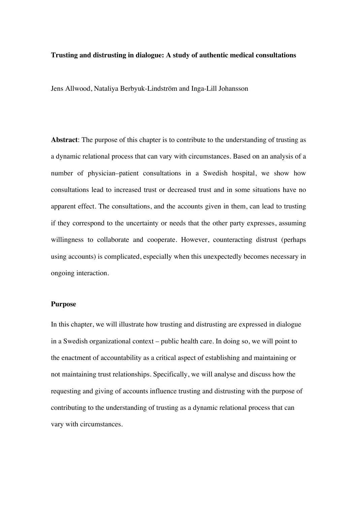## **Trusting and distrusting in dialogue: A study of authentic medical consultations**

Jens Allwood, Nataliya Berbyuk-Lindström and Inga-Lill Johansson

**Abstract**: The purpose of this chapter is to contribute to the understanding of trusting as a dynamic relational process that can vary with circumstances. Based on an analysis of a number of physician–patient consultations in a Swedish hospital, we show how consultations lead to increased trust or decreased trust and in some situations have no apparent effect. The consultations, and the accounts given in them, can lead to trusting if they correspond to the uncertainty or needs that the other party expresses, assuming willingness to collaborate and cooperate. However, counteracting distrust (perhaps using accounts) is complicated, especially when this unexpectedly becomes necessary in ongoing interaction.

## **Purpose**

In this chapter, we will illustrate how trusting and distrusting are expressed in dialogue in a Swedish organizational context – public health care. In doing so, we will point to the enactment of accountability as a critical aspect of establishing and maintaining or not maintaining trust relationships. Specifically, we will analyse and discuss how the requesting and giving of accounts influence trusting and distrusting with the purpose of contributing to the understanding of trusting as a dynamic relational process that can vary with circumstances.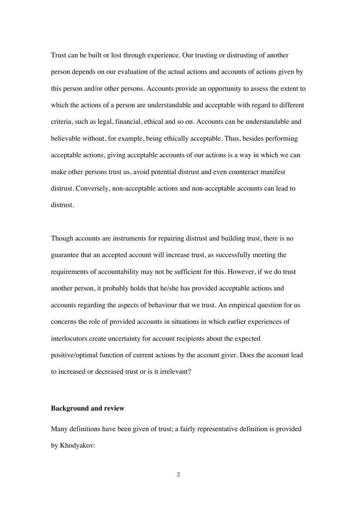Trust can be built or lost through experience. Our trusting or distrusting of another person depends on our evaluation of the actual actions and accounts of actions given by this person and/or other persons. Accounts provide an opportunity to assess the extent to which the actions of a person are understandable and acceptable with regard to different criteria, such as legal, financial, ethical and so on. Accounts can be understandable and believable without, for example, being ethically acceptable. Thus, besides performing acceptable actions, giving acceptable accounts of our actions is a way in which we can make other persons trust us, avoid potential distrust and even counteract manifest distrust. Conversely, non-acceptable actions and non-acceptable accounts can lead to distrust.

Though accounts are instruments for repairing distrust and building trust, there is no guarantee that an accepted account will increase trust, as successfully meeting the requirements of accountability may not be sufficient for this. However, if we do trust another person, it probably holds that he/she has provided acceptable actions and accounts regarding the aspects of behaviour that we trust. An empirical question for us concerns the role of provided accounts in situations in which earlier experiences of interlocutors create uncertainty for account recipients about the expected positive/optimal function of current actions by the account giver. Does the account lead to increased or decreased trust or is it irrelevant?

#### **Background and review**

Many definitions have been given of trust; a fairly representative definition is provided by Khodyakov: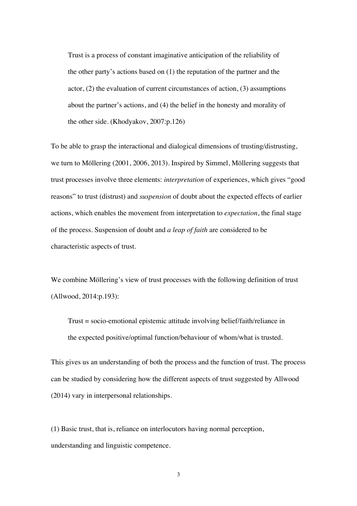Trust is a process of constant imaginative anticipation of the reliability of the other party's actions based on (1) the reputation of the partner and the actor, (2) the evaluation of current circumstances of action, (3) assumptions about the partner's actions, and (4) the belief in the honesty and morality of the other side. (Khodyakov, 2007:p.126)

To be able to grasp the interactional and dialogical dimensions of trusting/distrusting, we turn to Möllering (2001, 2006, 2013). Inspired by Simmel, Möllering suggests that trust processes involve three elements: *interpretation* of experiences, which gives "good reasons" to trust (distrust) and *suspension* of doubt about the expected effects of earlier actions, which enables the movement from interpretation to *expectation*, the final stage of the process. Suspension of doubt and *a leap of faith* are considered to be characteristic aspects of trust.

We combine Möllering's view of trust processes with the following definition of trust (Allwood, 2014:p.193):

Trust = socio-emotional epistemic attitude involving belief/faith/reliance in the expected positive/optimal function/behaviour of whom/what is trusted.

This gives us an understanding of both the process and the function of trust. The process can be studied by considering how the different aspects of trust suggested by Allwood (2014) vary in interpersonal relationships.

(1) Basic trust, that is, reliance on interlocutors having normal perception, understanding and linguistic competence.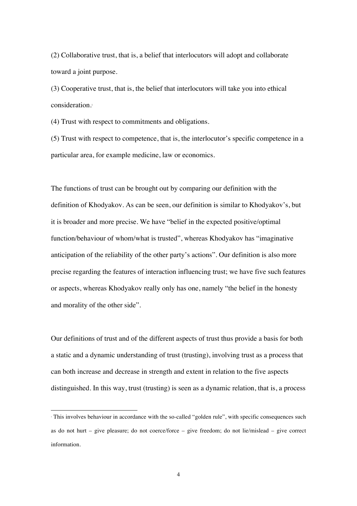(2) Collaborative trust, that is, a belief that interlocutors will adopt and collaborate toward a joint purpose.

(3) Cooperative trust, that is, the belief that interlocutors will take you into ethical consideration. 1

(4) Trust with respect to commitments and obligations.

(5) Trust with respect to competence, that is, the interlocutor's specific competence in a particular area, for example medicine, law or economics.

The functions of trust can be brought out by comparing our definition with the definition of Khodyakov. As can be seen, our definition is similar to Khodyakov's, but it is broader and more precise. We have "belief in the expected positive/optimal function/behaviour of whom/what is trusted", whereas Khodyakov has "imaginative anticipation of the reliability of the other party's actions". Our definition is also more precise regarding the features of interaction influencing trust; we have five such features or aspects, whereas Khodyakov really only has one, namely "the belief in the honesty and morality of the other side".

Our definitions of trust and of the different aspects of trust thus provide a basis for both a static and a dynamic understanding of trust (trusting), involving trust as a process that can both increase and decrease in strength and extent in relation to the five aspects distinguished. In this way, trust (trusting) is seen as a dynamic relation, that is, a process

 <sup>1</sup> This involves behaviour in accordance with the so-called "golden rule", with specific consequences such as do not hurt – give pleasure; do not coerce/force – give freedom; do not lie/mislead – give correct information.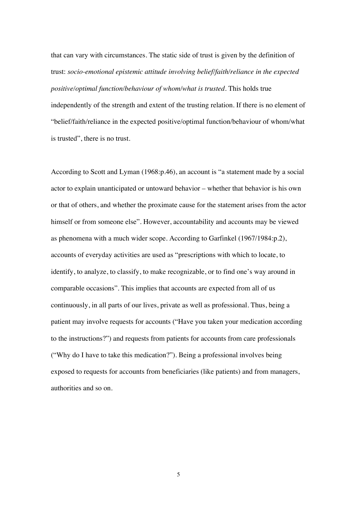that can vary with circumstances. The static side of trust is given by the definition of trust: *socio-emotional epistemic attitude involving belief/faith/reliance in the expected positive/optimal function/behaviour of whom/what is trusted*. This holds true independently of the strength and extent of the trusting relation. If there is no element of "belief/faith/reliance in the expected positive/optimal function/behaviour of whom/what is trusted", there is no trust.

According to Scott and Lyman (1968:p.46), an account is "a statement made by a social actor to explain unanticipated or untoward behavior – whether that behavior is his own or that of others, and whether the proximate cause for the statement arises from the actor himself or from someone else". However, accountability and accounts may be viewed as phenomena with a much wider scope. According to Garfinkel (1967/1984:p.2), accounts of everyday activities are used as "prescriptions with which to locate, to identify, to analyze, to classify, to make recognizable, or to find one's way around in comparable occasions". This implies that accounts are expected from all of us continuously, in all parts of our lives, private as well as professional. Thus, being a patient may involve requests for accounts ("Have you taken your medication according to the instructions?") and requests from patients for accounts from care professionals ("Why do I have to take this medication?"). Being a professional involves being exposed to requests for accounts from beneficiaries (like patients) and from managers, authorities and so on.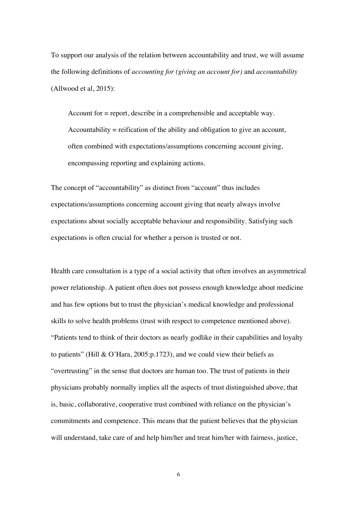To support our analysis of the relation between accountability and trust, we will assume the following definitions of *accounting for (giving an account for)* and *accountability* (Allwood et al, 2015):

Account for = report, describe in a comprehensible and acceptable way. Accountability = reification of the ability and obligation to give an account, often combined with expectations/assumptions concerning account giving, encompassing reporting and explaining actions.

The concept of "accountability" as distinct from "account" thus includes expectations/assumptions concerning account giving that nearly always involve expectations about socially acceptable behaviour and responsibility. Satisfying such expectations is often crucial for whether a person is trusted or not.

Health care consultation is a type of a social activity that often involves an asymmetrical power relationship. A patient often does not possess enough knowledge about medicine and has few options but to trust the physician's medical knowledge and professional skills to solve health problems (trust with respect to competence mentioned above). "Patients tend to think of their doctors as nearly godlike in their capabilities and loyalty to patients" (Hill & O'Hara, 2005:p.1723), and we could view their beliefs as "overtrusting" in the sense that doctors are human too. The trust of patients in their physicians probably normally implies all the aspects of trust distinguished above, that is, basic, collaborative, cooperative trust combined with reliance on the physician's commitments and competence. This means that the patient believes that the physician will understand, take care of and help him/her and treat him/her with fairness, justice,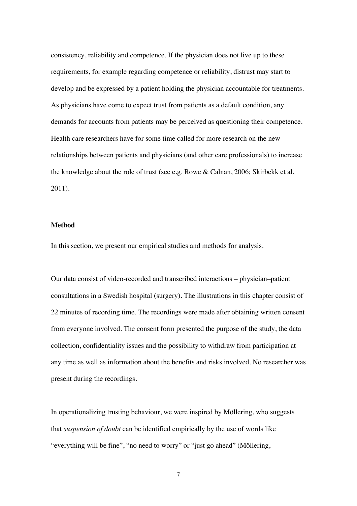consistency, reliability and competence. If the physician does not live up to these requirements, for example regarding competence or reliability, distrust may start to develop and be expressed by a patient holding the physician accountable for treatments. As physicians have come to expect trust from patients as a default condition, any demands for accounts from patients may be perceived as questioning their competence. Health care researchers have for some time called for more research on the new relationships between patients and physicians (and other care professionals) to increase the knowledge about the role of trust (see e.g. Rowe & Calnan, 2006; Skirbekk et al, 2011).

#### **Method**

In this section, we present our empirical studies and methods for analysis.

Our data consist of video-recorded and transcribed interactions – physician–patient consultations in a Swedish hospital (surgery). The illustrations in this chapter consist of 22 minutes of recording time. The recordings were made after obtaining written consent from everyone involved. The consent form presented the purpose of the study, the data collection, confidentiality issues and the possibility to withdraw from participation at any time as well as information about the benefits and risks involved. No researcher was present during the recordings.

In operationalizing trusting behaviour, we were inspired by Möllering, who suggests that *suspension of doubt* can be identified empirically by the use of words like "everything will be fine", "no need to worry" or "just go ahead" (Möllering,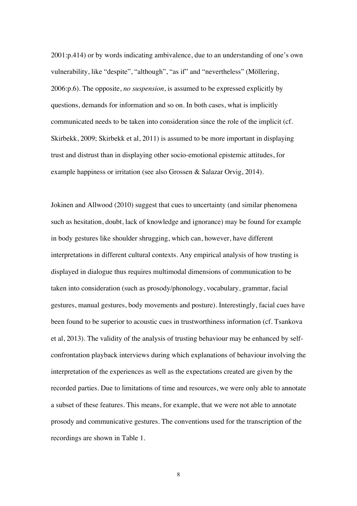2001:p.414) or by words indicating ambivalence, due to an understanding of one's own vulnerability, like "despite", "although", "as if" and "nevertheless" (Möllering, 2006:p.6). The opposite, *no suspension*, is assumed to be expressed explicitly by questions, demands for information and so on. In both cases, what is implicitly communicated needs to be taken into consideration since the role of the implicit (cf. Skirbekk, 2009; Skirbekk et al, 2011) is assumed to be more important in displaying trust and distrust than in displaying other socio-emotional epistemic attitudes, for example happiness or irritation (see also Grossen & Salazar Orvig, 2014).

Jokinen and Allwood (2010) suggest that cues to uncertainty (and similar phenomena such as hesitation, doubt, lack of knowledge and ignorance) may be found for example in body gestures like shoulder shrugging, which can, however, have different interpretations in different cultural contexts. Any empirical analysis of how trusting is displayed in dialogue thus requires multimodal dimensions of communication to be taken into consideration (such as prosody/phonology, vocabulary, grammar, facial gestures, manual gestures, body movements and posture). Interestingly, facial cues have been found to be superior to acoustic cues in trustworthiness information (cf. Tsankova et al, 2013). The validity of the analysis of trusting behaviour may be enhanced by selfconfrontation playback interviews during which explanations of behaviour involving the interpretation of the experiences as well as the expectations created are given by the recorded parties. Due to limitations of time and resources, we were only able to annotate a subset of these features. This means, for example, that we were not able to annotate prosody and communicative gestures. The conventions used for the transcription of the recordings are shown in Table 1.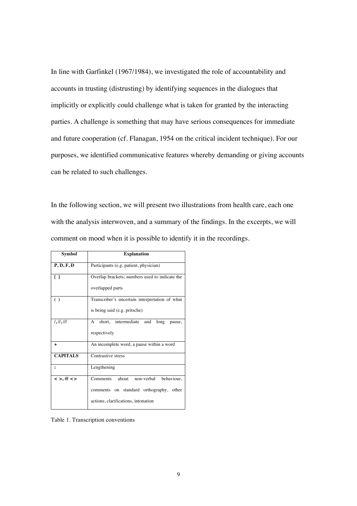In line with Garfinkel (1967/1984), we investigated the role of accountability and accounts in trusting (distrusting) by identifying sequences in the dialogues that implicitly or explicitly could challenge what is taken for granted by the interacting parties. A challenge is something that may have serious consequences for immediate and future cooperation (cf. Flanagan, 1954 on the critical incident technique). For our purposes, we identified communicative features whereby demanding or giving accounts can be related to such challenges.

In the following section, we will present two illustrations from health care, each one with the analysis interwoven, and a summary of the findings. In the excerpts, we will comment on mood when it is possible to identify it in the recordings.

| Symbol                                  | <b>Explanation</b>                             |
|-----------------------------------------|------------------------------------------------|
| P, D, F, D                              | Participants (e.g. patient, physician)         |
| Γl                                      | Overlap brackets; numbers used to indicate the |
|                                         | overlapped parts                               |
| ( )                                     | Transcriber's uncertain interpretation of what |
|                                         | is being said (e.g. pritsche)                  |
| 1, 11, 111                              | short, intermediate and<br>A<br>long<br>pause, |
|                                         | respectively                                   |
| ÷                                       | An incomplete word, a pause within a word      |
| <b>CAPITALS</b>                         | Contrastive stress                             |
| $\ddot{\phantom{a}}$                    | Lengthening                                    |
| $\langle \rangle$ , @ $\langle \rangle$ | about<br>non-verbal<br>behaviour,<br>Comments  |
|                                         | comments on standard orthography, other        |
|                                         | actions, clarifications, intonation            |

Table 1. Transcription conventions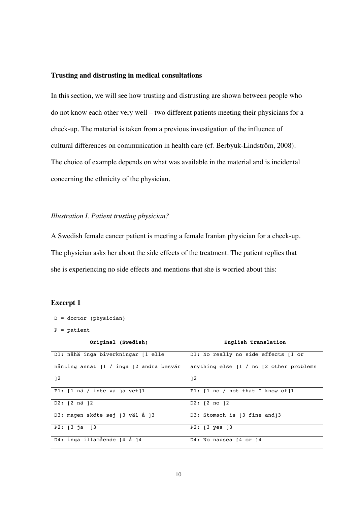## **Trusting and distrusting in medical consultations**

In this section, we will see how trusting and distrusting are shown between people who do not know each other very well – two different patients meeting their physicians for a check-up. The material is taken from a previous investigation of the influence of cultural differences on communication in health care (cf. Berbyuk-Lindström, 2008). The choice of example depends on what was available in the material and is incidental concerning the ethnicity of the physician.

#### *Illustration I. Patient trusting physician?*

A Swedish female cancer patient is meeting a female Iranian physician for a check-up. The physician asks her about the side effects of the treatment. The patient replies that she is experiencing no side effects and mentions that she is worried about this:

## **Excerpt 1**

 $D =$  doctor (physician)

 $P =$  patient

| Original (Swedish)                                          | English Translation                       |
|-------------------------------------------------------------|-------------------------------------------|
| D1: nähä inga biverkningar [1 elle                          | D1: No really no side effects [1 or       |
| nånting annat 11 / inga [2 andra besvär                     | anything else $11 / no$ [2 other problems |
| 12                                                          | 12                                        |
| Pl: $\lceil 1 \rceil$ nä / inte va ja vet $\lceil 1 \rceil$ | P1: $[1 no / not that I know of]1$        |
| $D2: [2 \nrightarrow 12]$                                   | $D2: [2 \t{no} 12]$                       |
| D3: magen sköte sej [3 väl å ]3                             | D3: Stomach is [3 fine and]3              |
| P2: [3 ja ]3                                                | $P2: [3 \text{ yes } ]3$                  |
| D4: inga illamående [4 å ]4                                 | D4: No nausea $[4$ or $]4$                |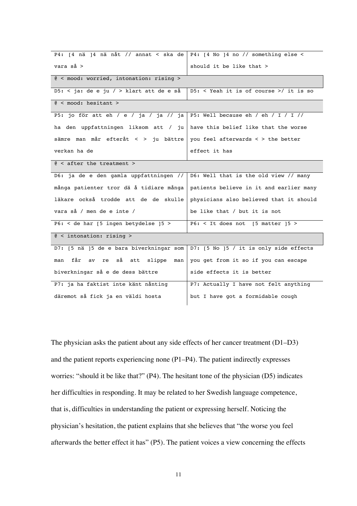| P4: [4 nä ]4 nä nåt // annat < ska de   P4: [4 No ]4 no // something else <                                                                                                  |                                          |  |
|------------------------------------------------------------------------------------------------------------------------------------------------------------------------------|------------------------------------------|--|
| $vara$ $så$ >                                                                                                                                                                | should it be like that >                 |  |
| @ < mood: worried, intonation: rising >                                                                                                                                      |                                          |  |
| D5: < ja: de e ju / > klart att de e så                                                                                                                                      | $D5:$ < Yeah it is of course >/ it is so |  |
| @ <b>mod</b> : <b>hesitant</b> >                                                                                                                                             |                                          |  |
| P5: jo för att eh $\overline{\smash{7}}$ e $\smash{7}$ ja $\smash{7}$ ja $\smash{7}$ ja $\smash{1}$ p5: Well because eh $\smash{7}$ eh $\smash{7}$ T $\smash{7}$ $\smash{7}$ |                                          |  |
| ha den uppfattningen liksom att / ju   have this belief like that the worse                                                                                                  |                                          |  |
| sämre man mår efteråt < > ju bättre                                                                                                                                          | you feel afterwards < > the better       |  |
| verkan ha de                                                                                                                                                                 | effect it has                            |  |
| $@ < after$ the treatment >                                                                                                                                                  |                                          |  |
| D6: ja de e den gamla uppfattningen //                                                                                                                                       | D6: Well that is the old view // many    |  |
| många patienter tror dä å tidiare många                                                                                                                                      | patients believe in it and earlier many  |  |
| läkare också trodde att de de skulle                                                                                                                                         | physicians also believed that it should  |  |
| vara så / men de e inte /                                                                                                                                                    | be like that / but it is not             |  |
| P6: $<$ de har [5 ingen betydelse ]5 >                                                                                                                                       | $P6:$ < It does not [5 matter ]5 >       |  |
| $@ <$ intonation: rising >                                                                                                                                                   |                                          |  |
| D7: [5 nä ]5 de e bara biverkningar som                                                                                                                                      | D7: [5 No ]5 / it is only side effects   |  |
| får<br>av re så att slippe<br>man<br>man                                                                                                                                     | you get from it so if you can escape     |  |
| biverkningar så e de dess bättre                                                                                                                                             | side effects it is better                |  |
| P7: ja ha faktist inte känt nånting                                                                                                                                          | P7: Actually I have not felt anything    |  |
| däremot så fick ja en väldi hosta                                                                                                                                            | but I have got a formidable cough        |  |

The physician asks the patient about any side effects of her cancer treatment (D1–D3) and the patient reports experiencing none (P1–P4). The patient indirectly expresses worries: "should it be like that?" (P4). The hesitant tone of the physician (D5) indicates her difficulties in responding. It may be related to her Swedish language competence, that is, difficulties in understanding the patient or expressing herself. Noticing the physician's hesitation, the patient explains that she believes that "the worse you feel afterwards the better effect it has" (P5). The patient voices a view concerning the effects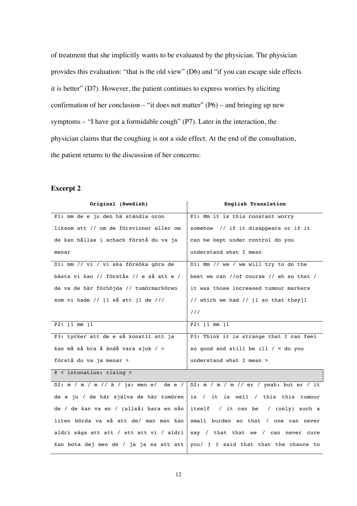of treatment that she implicitly wants to be evaluated by the physician. The physician provides this evaluation: "that is the old view" (D6) and "if you can escape side effects it is better" (D7). However, the patient continues to express worries by eliciting confirmation of her conclusion – "it does not matter"  $(P6)$  – and bringing up new symptoms – "I have got a formidable cough" (P7). Later in the interaction, the physician claims that the coughing is not a side effect. At the end of the consultation, the patient returns to the discussion of her concerns:

| Original (Swedish)                      | English Translation                     |
|-----------------------------------------|-----------------------------------------|
| Pl: mm de e ju den hä ständia oron      | P1: Mm it is this constant worry        |
| liksom att // om de försvinner eller om | somehow // if it disappears or if it    |
| de kan hållas i schack förstå du va ja  | can be kept under control do you        |
| menar                                   | understand what I mean                  |
| Dl: mm // vi / vi ska försöka göra de   | D1: Mm // we / we will try to do the    |
| bästa vi kan // förstås // e så att e / | best we can //of course // eh so that / |
| de va de här förhöjda // tumörmarkören  | it was those increased tumour markers   |
| som vi hade // [1 så att ]1 de ///      | // which we had // [1 so that they]1    |
|                                         | 111                                     |
| P2: [1 mm 11                            | P2: [1 mm 11                            |
| P3: tycker att de e så konstit att ja   | P3: Think it is strange that I can feel |
| kan må så bra å ändå vara sjuk / <      | so good and still be ill $/$ < do you   |
| förstå du va ja menar >                 | understand what I mean >                |
| $@ <$ intonation: rising >              |                                         |
| D2: m / m / m // ä / ja: men e/ de e /  | D2: m / m / m // er / yeah: but er / it |
| de e ju / de här själva de här tumören  | is / it is well / this this tumour      |
| de / de kan va en / (allså) bara en sån | itself / it can be / (only) such a      |
| liten börda va så att de/ man man kan   | small burden so that / one can never    |
| aldri säga att att / att att vi / aldri | say / that that we / can never cure     |
| kan bota dej men de / ja ja sa att att  | you/ I I said that that the chance to   |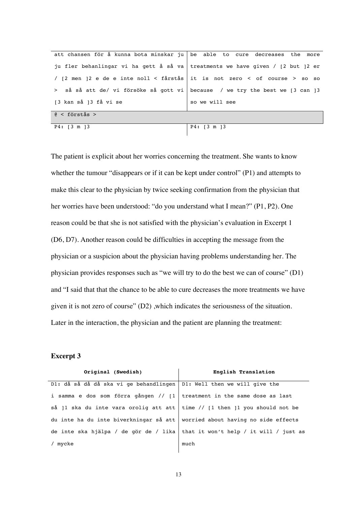|                                                                                | att chansen för å kunna bota minskar ju be able to cure decreases the more     |
|--------------------------------------------------------------------------------|--------------------------------------------------------------------------------|
|                                                                                | ju fler behanlingar vi ha gett å så va treatments we have given / [2 but ]2 er |
| / [2 men ]2 e de e inte noll < fårstås   it is not zero < of course > so so    |                                                                                |
| > så så att de/ vi försöke så gott vi   because / we try the best we [3 can ]3 |                                                                                |
| [3 kan så ]3 få vi se                                                          | so we will see                                                                 |
| $\theta$ < förstås >                                                           |                                                                                |
| $P4: [3 \t m]3$                                                                | P4: 3 m 13                                                                     |

The patient is explicit about her worries concerning the treatment. She wants to know whether the tumour "disappears or if it can be kept under control" (P1) and attempts to make this clear to the physician by twice seeking confirmation from the physician that her worries have been understood: "do you understand what I mean?" (P1, P2). One reason could be that she is not satisfied with the physician's evaluation in Excerpt 1 (D6, D7). Another reason could be difficulties in accepting the message from the physician or a suspicion about the physician having problems understanding her. The physician provides responses such as "we will try to do the best we can of course" (D1) and "I said that that the chance to be able to cure decreases the more treatments we have given it is not zero of course" (D2) ,which indicates the seriousness of the situation. Later in the interaction, the physician and the patient are planning the treatment:

| Original (Swedish)                                                                     | English Translation |
|----------------------------------------------------------------------------------------|---------------------|
| D1: då så då då ska vi ge behandlingen   D1: Well then we will give the                |                     |
| i samma e dos som förra gången // $\lceil 1 \rceil$ treatment in the same dose as last |                     |
| så  1 ska du inte vara orolig att att   time // [1 then  1 you should not be           |                     |
| du inte ha du inte biverkningar så att worried about having no side effects            |                     |
| de inte ska hjälpa / de gör de / lika   that it won't help / it will / just as         |                     |
| / mycke                                                                                | much                |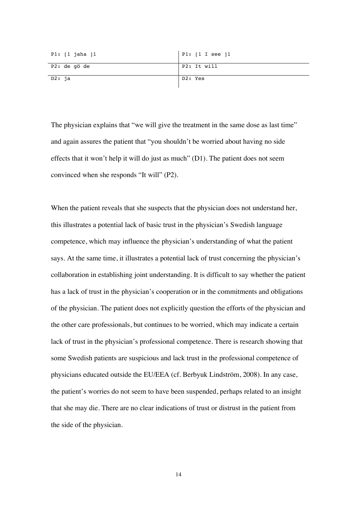| P1: [1 jaha ]1 | PI: [1 I see ]1 |
|----------------|-----------------|
| P2: de qö de   | P2: It will     |
| D2: ja         | D2: Yes         |

The physician explains that "we will give the treatment in the same dose as last time" and again assures the patient that "you shouldn't be worried about having no side effects that it won't help it will do just as much" (D1). The patient does not seem convinced when she responds "It will" (P2).

When the patient reveals that she suspects that the physician does not understand her, this illustrates a potential lack of basic trust in the physician's Swedish language competence, which may influence the physician's understanding of what the patient says. At the same time, it illustrates a potential lack of trust concerning the physician's collaboration in establishing joint understanding. It is difficult to say whether the patient has a lack of trust in the physician's cooperation or in the commitments and obligations of the physician. The patient does not explicitly question the efforts of the physician and the other care professionals, but continues to be worried, which may indicate a certain lack of trust in the physician's professional competence. There is research showing that some Swedish patients are suspicious and lack trust in the professional competence of physicians educated outside the EU/EEA (cf. Berbyuk Lindström, 2008). In any case, the patient's worries do not seem to have been suspended, perhaps related to an insight that she may die. There are no clear indications of trust or distrust in the patient from the side of the physician.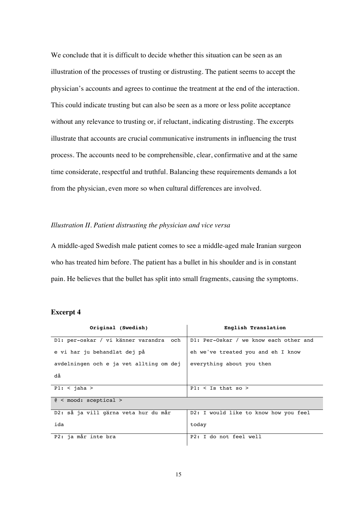We conclude that it is difficult to decide whether this situation can be seen as an illustration of the processes of trusting or distrusting. The patient seems to accept the physician's accounts and agrees to continue the treatment at the end of the interaction. This could indicate trusting but can also be seen as a more or less polite acceptance without any relevance to trusting or, if reluctant, indicating distrusting. The excerpts illustrate that accounts are crucial communicative instruments in influencing the trust process. The accounts need to be comprehensible, clear, confirmative and at the same time considerate, respectful and truthful. Balancing these requirements demands a lot from the physician, even more so when cultural differences are involved.

#### *Illustration II. Patient distrusting the physician and vice versa*

A middle-aged Swedish male patient comes to see a middle-aged male Iranian surgeon who has treated him before. The patient has a bullet in his shoulder and is in constant pain. He believes that the bullet has split into small fragments, causing the symptoms.

| Original (Swedish)                      | English Translation                    |  |
|-----------------------------------------|----------------------------------------|--|
| D1: per-oskar / vi känner varandra och  | D1: Per-Oskar / we know each other and |  |
| e vi har ju behandlat dej på            | eh we've treated you and eh I know     |  |
| avdelningen och e ja vet allting om dej | everything about you then              |  |
| då                                      |                                        |  |
| $P1:$ < jaha >                          | $P1:$ < Is that so >                   |  |
| $\ell$ < mood: sceptical >              |                                        |  |
| D2: så ja vill gärna veta hur du mår    | D2: I would like to know how you feel  |  |
| ida                                     | today                                  |  |
| P2: ja mår inte bra                     | P2: I do not feel well                 |  |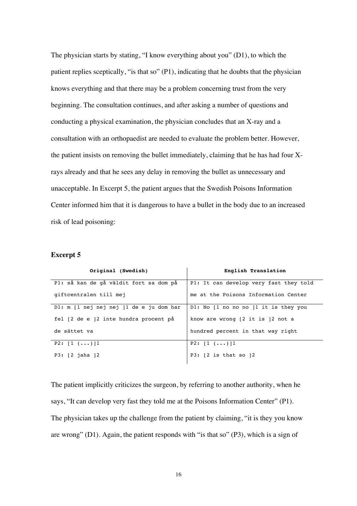The physician starts by stating, "I know everything about you" (D1), to which the patient replies sceptically, "is that so" (P1), indicating that he doubts that the physician knows everything and that there may be a problem concerning trust from the very beginning. The consultation continues, and after asking a number of questions and conducting a physical examination, the physician concludes that an X-ray and a consultation with an orthopaedist are needed to evaluate the problem better. However, the patient insists on removing the bullet immediately, claiming that he has had four Xrays already and that he sees any delay in removing the bullet as unnecessary and unacceptable. In Excerpt 5, the patient argues that the Swedish Poisons Information Center informed him that it is dangerous to have a bullet in the body due to an increased risk of lead poisoning:

#### **Excerpt 5**

| Original (Swedish)                                             | English Translation                    |
|----------------------------------------------------------------|----------------------------------------|
| Pl: så kan de gå väldit fort sa dom på                         | P1: It can develop very fast they told |
| giftcentralen till mej                                         | me at the Poisons Information Center   |
| $D1: m \nvert 1$ nej nej nej $\vert 1 \rangle$ de e ju dom har | DI: No [1 no no no] 1 it is they you   |
| fel [2 de e ]2 inte hundra procent på                          | know are wrong [2 it is ]2 not a       |
| de sättet va                                                   | hundred percent in that way right      |
| $P2: [1 (\ldots)]1$                                            | $P2: [1 (\ldots)]1$                    |
| $P3: [2 \text{ jaha }]2$                                       | P3: $[2 \text{ is that so } ]2$        |

The patient implicitly criticizes the surgeon, by referring to another authority, when he says, "It can develop very fast they told me at the Poisons Information Center" (P1). The physician takes up the challenge from the patient by claiming, "it is they you know are wrong" (D1). Again, the patient responds with "is that so" (P3), which is a sign of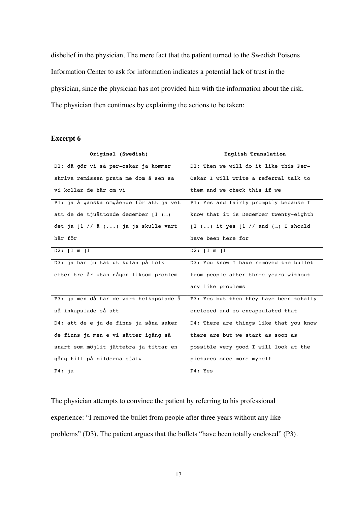disbelief in the physician. The mere fact that the patient turned to the Swedish Poisons Information Center to ask for information indicates a potential lack of trust in the physician, since the physician has not provided him with the information about the risk. The physician then continues by explaining the actions to be taken:

## **Excerpt 6**

| Original (Swedish)                      | English Translation                                           |
|-----------------------------------------|---------------------------------------------------------------|
| D1: då gör vi så per-oskar ja kommer    | D1: Then we will do it like this Per-                         |
| skriva remissen prata me dom å sen så   | Oskar I will write a referral talk to                         |
| vi kollar de här om vi                  | them and we check this if we                                  |
| Pl: ja å ganska omgående för att ja vet | Pl: Yes and fairly promptly because I                         |
| att de de tjuåttonde december [1 ()     | know that it is December twenty-eighth                        |
| det ja ]1 // å () ja ja skulle vart     | $\lceil 1 \rceil$ () it yes $\lceil 1 \rceil$ and () I should |
| här för                                 | have been here for                                            |
| D2: [1 m ]1                             | D2: [1 m]1                                                    |
| D3: ja har ju tat ut kulan på folk      | D3: You know I have removed the bullet                        |
| efter tre år utan någon liksom problem  | from people after three years without                         |
|                                         | any like problems                                             |
| P3: ja men då har de vart helkapslade å | P3: Yes but then they have been totally                       |
| så inkapslade så att                    | enclosed and so encapsulated that                             |
| D4: att de e ju de finns ju såna saker  | D4: There are things like that you know                       |
| de finns ju men e vi sätter igång så    | there are but we start as soon as                             |
| snart som möjlit jättebra ja tittar en  | possible very good I will look at the                         |
| gång till på bilderna själv             | pictures once more myself                                     |
| P4: ja                                  | P4: Yes                                                       |

The physician attempts to convince the patient by referring to his professional experience: "I removed the bullet from people after three years without any like problems" (D3). The patient argues that the bullets "have been totally enclosed" (P3).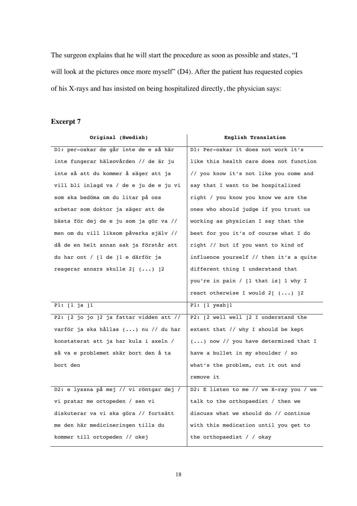The surgeon explains that he will start the procedure as soon as possible and states, "I will look at the pictures once more myself" (D4). After the patient has requested copies of his X-rays and has insisted on being hospitalized directly, the physician says:

| Original (Swedish)                        | English Translation                            |
|-------------------------------------------|------------------------------------------------|
| D1: per-oskar de går inte de e så här     | D1: Per-oskar it does not work it's            |
| inte fungerar hälsovården // de är ju     | like this health care does not function        |
| inte så att du kommer å säger att ja      | // you know it's not like you come and         |
| vill bli inlagd va / de e ju de e ju vi   | say that I want to be hospitalized             |
| som ska bedöma om du litar på oss         | right / you know you know we are the           |
| arbetar som doktor ja säger att de        | ones who should judge if you trust us          |
| bästa för dej de e ju som ja gör va //    | working as physician I say that the            |
| men om du vill liksom påverka själv //    | best for you it's of course what I do          |
| då de en helt annan sak ja förstår att    | right // but if you want to kind of            |
| du har ont / [1 de ]1 e därför ja         | influence yourself // then it's a quite        |
| reagerar annars skulle $2[$ $(\ldots)$ ]2 | different thing I understand that              |
|                                           | you're in pain / [1 that is] 1 why I           |
|                                           | react otherwise I would $2[$ $(\ldots)$ $]2$   |
| P1: $[1 ja]$ 1                            | $P1: [1 \text{ year}]1$                        |
| P2: [2 jo jo ]2 ja fattar vidden att //   | P2: [2 well well ]2 I understand the           |
| varför ja ska hållas () nu // du har      | extent that // why I should be kept            |
| konstaterat att ja har kula i axeln /     | $( \ldots )$ now // you have determined that I |
| så va e problemet skär bort den å ta      | have a bullet in my shoulder / so              |
| bort den                                  | what's the problem, cut it out and             |
|                                           | remove it                                      |
| D2: e lyssna på mej // vi röntgar dej /   | D2: E listen to me // we X-ray you / we        |
| vi pratar me ortopeden / sen vi           | talk to the orthopaedist / then we             |
| diskuterar va vi ska göra // fortsätt     | discuss what we should do // continue          |
| me den här medicineringen tills du        | with this medication until you get to          |
| kommer till ortopeden // okej             | the orthopaedist / / okay                      |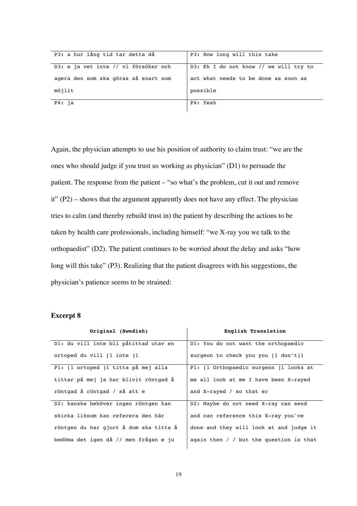| P3: a hur lång tid tar detta då      | P3: How long will this take            |
|--------------------------------------|----------------------------------------|
| D3: e ja vet inte // vi försöker och | D3: Eh I do not know // we will try to |
| agera den som ska göras så snart som | act what needs to be done as soon as   |
| möjlit                               | possible                               |
| P4: ia                               | P4: Yeah                               |

Again, the physician attempts to use his position of authority to claim trust: "we are the ones who should judge if you trust us working as physician" (D1) to persuade the patient. The response from the patient – "so what's the problem, cut it out and remove it" (P2) – shows that the argument apparently does not have any effect. The physician tries to calm (and thereby rebuild trust in) the patient by describing the actions to be taken by health care professionals, including himself: "we X-ray you we talk to the orthopaedist" (D2). The patient continues to be worried about the delay and asks "how long will this take" (P3). Realizing that the patient disagrees with his suggestions, the physician's patience seems to be strained:

| Original (Swedish)                     | English Translation                         |
|----------------------------------------|---------------------------------------------|
| D1: du vill inte bli påtittad utav en  | D1: You do not want the orthopaedic         |
| ortoped du vill [1 inte ]1             | surgeon to check you you [1 don't]1         |
| Pl: [1 ortoped ]1 titta på mej alla    | P1: [1 Orthopaedic surgeon ]1 looks at      |
| tittar på mej ja har blivit röntgad å  | me all look at me I have been X-rayed       |
| röntgad å röntgad / så att e           | and X-rayed / so that er                    |
| D2: kanske behöver ingen röntgen kan   | D2: Maybe do not need X-ray can send        |
| skicka liksom kan referera den här     | and can reference this X-ray you've         |
| röntgen du har gjort å dom ska titta å | done and they will look at and judge it     |
| bedöma det igen då // men frågan e ju  | again then $/$ $/$ but the question is that |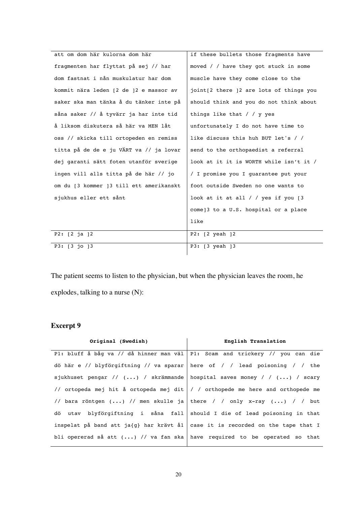| att om dom här kulorna dom här          | if these bullets those fragments have              |
|-----------------------------------------|----------------------------------------------------|
| fragmenten har flyttat på sej // har    | moved / / have they got stuck in some              |
| dom fastnat i nån muskulatur har dom    | muscle have they come close to the                 |
| kommit nära leden [2 de ]2 e massor av  | joint[2 there 12 are lots of things you            |
| saker ska man tänka å du tänker inte på | should think and you do not think about            |
| såna saker // å tyvärr ja har inte tid  | things like that $/ / y$ yes                       |
| å liksom diskutera så här va MEN låt    | unfortunately I do not have time to                |
| oss // skicka till ortopeden en remiss  | like discuss this huh BUT let's / /                |
| titta på de de e ju VÄRT va // ja lovar | send to the orthopaedist a referral                |
| dej garanti sätt foten utanför sverige  | look at it it is WORTH while isn't it /            |
| ingen vill alls titta på de här // jo   | / I promise you I quarantee put your               |
| om du [3 kommer ]3 till ett amerikanskt | foot outside Sweden no one wants to                |
| sjukhus eller ett sånt                  | look at it at all / / yes if you $\lceil 3 \rceil$ |
|                                         | come]3 to a U.S. hospital or a place               |
|                                         | like                                               |
| $P2: [2 \text{ ia }]2$                  | P2: [2 yeah ]2                                     |
| P3: [3 jo ]3                            | P3: [3 yeah ]3                                     |

The patient seems to listen to the physician, but when the physician leaves the room, he explodes, talking to a nurse (N):

| Original (Swedish) | English Translation                                                                       |
|--------------------|-------------------------------------------------------------------------------------------|
|                    | P1: bluff å båg va // då hinner man väl   P1: Scam and trickery // you can die            |
|                    | dö här e // blyförgiftning // va sparar   here of / / lead poisoning / / the              |
|                    | sjukhuset pengar // $(\ldots)$ / skrämmande   hospital saves money / / $(\ldots)$ / scary |
|                    | // ortopeda mej hit å ortopeda mej dit  / / orthopede me here and orthopede me            |
|                    | // bara röntgen () // men skulle ja there / / only x-ray () / / but                       |
|                    | dö utav blyförgiftning i såna fall should I die of lead poisoning in that                 |
|                    | inspelat på band att ja{g} har krävt ål case it is recorded on the tape that I            |
|                    | bli opererad så att $()$ // va fan ska   have required to be operated so that             |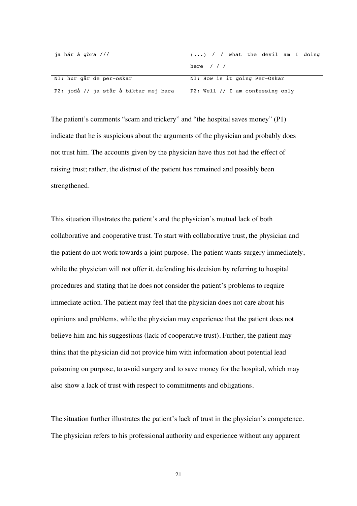| ja här å göra ///                     | $\vert$ () / / what the devil am I doing |
|---------------------------------------|------------------------------------------|
|                                       | here $//$                                |
| N1: hur går de per-oskar              | N1: How is it going Per-Oskar            |
| P2: jodå // ja står å biktar mej bara | P2: Well // I am confessing only         |

The patient's comments "scam and trickery" and "the hospital saves money" (P1) indicate that he is suspicious about the arguments of the physician and probably does not trust him. The accounts given by the physician have thus not had the effect of raising trust; rather, the distrust of the patient has remained and possibly been strengthened.

This situation illustrates the patient's and the physician's mutual lack of both collaborative and cooperative trust. To start with collaborative trust, the physician and the patient do not work towards a joint purpose. The patient wants surgery immediately, while the physician will not offer it, defending his decision by referring to hospital procedures and stating that he does not consider the patient's problems to require immediate action. The patient may feel that the physician does not care about his opinions and problems, while the physician may experience that the patient does not believe him and his suggestions (lack of cooperative trust). Further, the patient may think that the physician did not provide him with information about potential lead poisoning on purpose, to avoid surgery and to save money for the hospital, which may also show a lack of trust with respect to commitments and obligations.

The situation further illustrates the patient's lack of trust in the physician's competence. The physician refers to his professional authority and experience without any apparent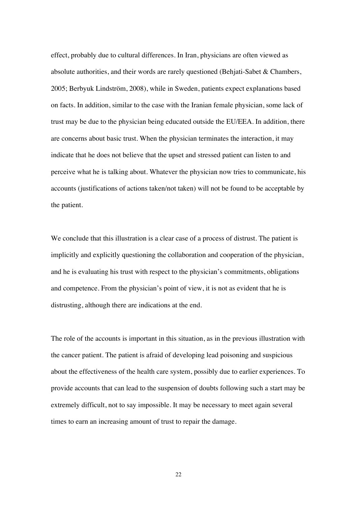effect, probably due to cultural differences. In Iran, physicians are often viewed as absolute authorities, and their words are rarely questioned (Behjati-Sabet & Chambers, 2005; Berbyuk Lindström, 2008), while in Sweden, patients expect explanations based on facts. In addition, similar to the case with the Iranian female physician, some lack of trust may be due to the physician being educated outside the EU/EEA. In addition, there are concerns about basic trust. When the physician terminates the interaction, it may indicate that he does not believe that the upset and stressed patient can listen to and perceive what he is talking about. Whatever the physician now tries to communicate, his accounts (justifications of actions taken/not taken) will not be found to be acceptable by the patient.

We conclude that this illustration is a clear case of a process of distrust. The patient is implicitly and explicitly questioning the collaboration and cooperation of the physician, and he is evaluating his trust with respect to the physician's commitments, obligations and competence. From the physician's point of view, it is not as evident that he is distrusting, although there are indications at the end.

The role of the accounts is important in this situation, as in the previous illustration with the cancer patient. The patient is afraid of developing lead poisoning and suspicious about the effectiveness of the health care system, possibly due to earlier experiences. To provide accounts that can lead to the suspension of doubts following such a start may be extremely difficult, not to say impossible. It may be necessary to meet again several times to earn an increasing amount of trust to repair the damage.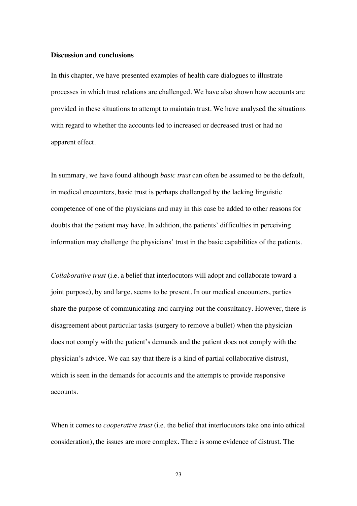#### **Discussion and conclusions**

In this chapter, we have presented examples of health care dialogues to illustrate processes in which trust relations are challenged. We have also shown how accounts are provided in these situations to attempt to maintain trust. We have analysed the situations with regard to whether the accounts led to increased or decreased trust or had no apparent effect.

In summary, we have found although *basic trust* can often be assumed to be the default, in medical encounters, basic trust is perhaps challenged by the lacking linguistic competence of one of the physicians and may in this case be added to other reasons for doubts that the patient may have. In addition, the patients' difficulties in perceiving information may challenge the physicians' trust in the basic capabilities of the patients.

*Collaborative trust* (i.e. a belief that interlocutors will adopt and collaborate toward a joint purpose), by and large, seems to be present. In our medical encounters, parties share the purpose of communicating and carrying out the consultancy. However, there is disagreement about particular tasks (surgery to remove a bullet) when the physician does not comply with the patient's demands and the patient does not comply with the physician's advice. We can say that there is a kind of partial collaborative distrust, which is seen in the demands for accounts and the attempts to provide responsive accounts.

When it comes to *cooperative trust* (i.e. the belief that interlocutors take one into ethical consideration), the issues are more complex. There is some evidence of distrust. The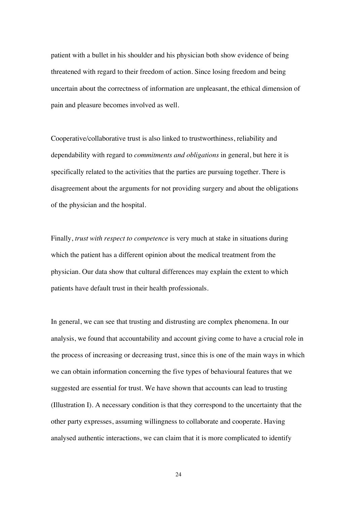patient with a bullet in his shoulder and his physician both show evidence of being threatened with regard to their freedom of action. Since losing freedom and being uncertain about the correctness of information are unpleasant, the ethical dimension of pain and pleasure becomes involved as well.

Cooperative/collaborative trust is also linked to trustworthiness, reliability and dependability with regard to *commitments and obligations* in general, but here it is specifically related to the activities that the parties are pursuing together. There is disagreement about the arguments for not providing surgery and about the obligations of the physician and the hospital.

Finally, *trust with respect to competence* is very much at stake in situations during which the patient has a different opinion about the medical treatment from the physician. Our data show that cultural differences may explain the extent to which patients have default trust in their health professionals.

In general, we can see that trusting and distrusting are complex phenomena. In our analysis, we found that accountability and account giving come to have a crucial role in the process of increasing or decreasing trust, since this is one of the main ways in which we can obtain information concerning the five types of behavioural features that we suggested are essential for trust. We have shown that accounts can lead to trusting (Illustration I). A necessary condition is that they correspond to the uncertainty that the other party expresses, assuming willingness to collaborate and cooperate. Having analysed authentic interactions, we can claim that it is more complicated to identify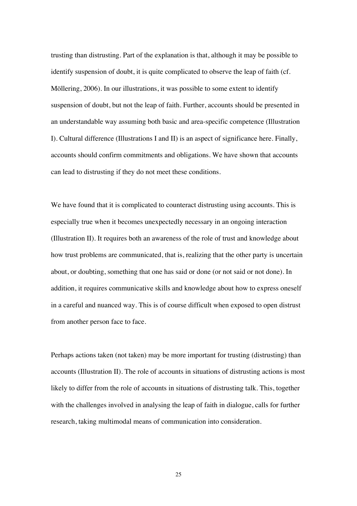trusting than distrusting. Part of the explanation is that, although it may be possible to identify suspension of doubt, it is quite complicated to observe the leap of faith (cf. Möllering, 2006). In our illustrations, it was possible to some extent to identify suspension of doubt, but not the leap of faith. Further, accounts should be presented in an understandable way assuming both basic and area-specific competence (Illustration I). Cultural difference (Illustrations I and II) is an aspect of significance here. Finally, accounts should confirm commitments and obligations. We have shown that accounts can lead to distrusting if they do not meet these conditions.

We have found that it is complicated to counteract distrusting using accounts. This is especially true when it becomes unexpectedly necessary in an ongoing interaction (Illustration II). It requires both an awareness of the role of trust and knowledge about how trust problems are communicated, that is, realizing that the other party is uncertain about, or doubting, something that one has said or done (or not said or not done). In addition, it requires communicative skills and knowledge about how to express oneself in a careful and nuanced way. This is of course difficult when exposed to open distrust from another person face to face.

Perhaps actions taken (not taken) may be more important for trusting (distrusting) than accounts (Illustration II). The role of accounts in situations of distrusting actions is most likely to differ from the role of accounts in situations of distrusting talk. This, together with the challenges involved in analysing the leap of faith in dialogue, calls for further research, taking multimodal means of communication into consideration.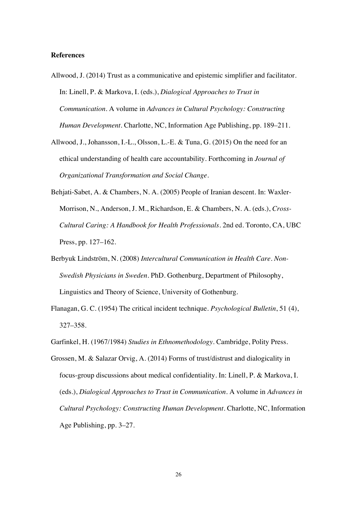#### **References**

- Allwood, J. (2014) Trust as a communicative and epistemic simplifier and facilitator. In: Linell, P. & Markova, I. (eds.), *Dialogical Approaches to Trust in Communication*. A volume in *Advances in Cultural Psychology: Constructing Human Development*. Charlotte, NC, Information Age Publishing, pp. 189–211.
- Allwood, J., Johansson, I.-L., Olsson, L.-E. & Tuna, G. (2015) On the need for an ethical understanding of health care accountability. Forthcoming in *Journal of Organizational Transformation and Social Change*.
- Behjati-Sabet, A. & Chambers, N. A. (2005) People of Iranian descent. In: Waxler-Morrison, N., Anderson, J. M., Richardson, E. & Chambers, N. A. (eds.), *Cross-Cultural Caring: A Handbook for Health Professionals*. 2nd ed. Toronto, CA, UBC Press, pp. 127–162.
- Berbyuk Lindström, N. (2008) *Intercultural Communication in Health Care. Non-Swedish Physicians in Sweden*. PhD. Gothenburg, Department of Philosophy, Linguistics and Theory of Science, University of Gothenburg.
- Flanagan, G. C. (1954) The critical incident technique. *Psychological Bulletin*, 51 (4), 327–358.
- Garfinkel, H. (1967/1984) *Studies in Ethnomethodology*. Cambridge, Polity Press.
- Grossen, M. & Salazar Orvig, A. (2014) Forms of trust/distrust and dialogicality in focus-group discussions about medical confidentiality. In: Linell, P. & Markova, I. (eds.), *Dialogical Approaches to Trust in Communication*. A volume in *Advances in Cultural Psychology: Constructing Human Development*. Charlotte, NC, Information Age Publishing, pp. 3–27.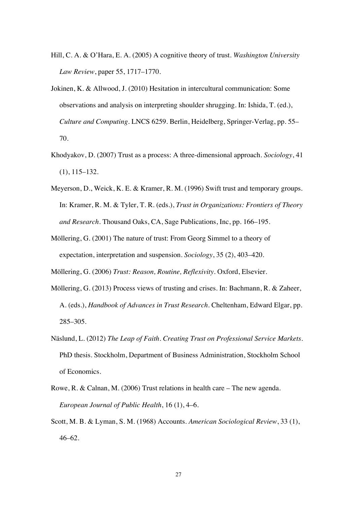- Hill, C. A. & O'Hara, E. A. (2005) A cognitive theory of trust. *Washington University Law Review*, paper 55, 1717–1770.
- Jokinen, K. & Allwood, J. (2010) Hesitation in intercultural communication: Some observations and analysis on interpreting shoulder shrugging. In: Ishida, T. (ed.), *Culture and Computing*. LNCS 6259. Berlin, Heidelberg, Springer-Verlag, pp. 55– 70.
- Khodyakov, D. (2007) Trust as a process: A three-dimensional approach. *Sociology*, 41 (1), 115–132.
- Meyerson, D., Weick, K. E. & Kramer, R. M. (1996) Swift trust and temporary groups. In: Kramer, R. M. & Tyler, T. R. (eds.), *Trust in Organizations: Frontiers of Theory and Research*. Thousand Oaks, CA, Sage Publications, Inc, pp. 166–195.
- Möllering, G. (2001) The nature of trust: From Georg Simmel to a theory of expectation, interpretation and suspension. *Sociology*, 35 (2), 403–420.
- Möllering, G. (2006) *Trust: Reason, Routine, Reflexivity*. Oxford, Elsevier.
- Möllering, G. (2013) Process views of trusting and crises. In: Bachmann, R. & Zaheer, A. (eds.), *Handbook of Advances in Trust Research*. Cheltenham, Edward Elgar, pp. 285–305.
- Näslund, L. (2012) *The Leap of Faith. Creating Trust on Professional Service Markets*. PhD thesis. Stockholm, Department of Business Administration, Stockholm School of Economics.
- Rowe, R. & Calnan, M. (2006) Trust relations in health care The new agenda. *European Journal of Public Health*, 16 (1), 4–6.
- Scott, M. B. & Lyman, S. M. (1968) Accounts. *American Sociological Review*, 33 (1), 46–62.